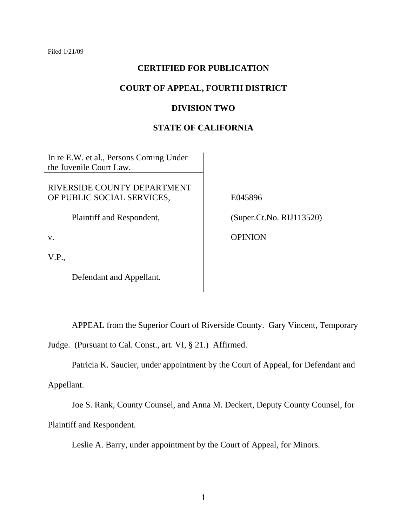# **CERTIFIED FOR PUBLICATION**

# **COURT OF APPEAL, FOURTH DISTRICT**

### **DIVISION TWO**

### **STATE OF CALIFORNIA**

In re E.W. et al., Persons Coming Under the Juvenile Court Law.

RIVERSIDE COUNTY DEPARTMENT OF PUBLIC SOCIAL SERVICES,

Plaintiff and Respondent,

v.

V.P.,

Defendant and Appellant.

E045896

(Super.Ct.No. RIJ113520)

OPINION

 APPEAL from the Superior Court of Riverside County. Gary Vincent, Temporary Judge. (Pursuant to Cal. Const., art. VI, § 21.) Affirmed.

Patricia K. Saucier, under appointment by the Court of Appeal, for Defendant and

Appellant.

 Joe S. Rank, County Counsel, and Anna M. Deckert, Deputy County Counsel, for Plaintiff and Respondent.

Leslie A. Barry, under appointment by the Court of Appeal, for Minors.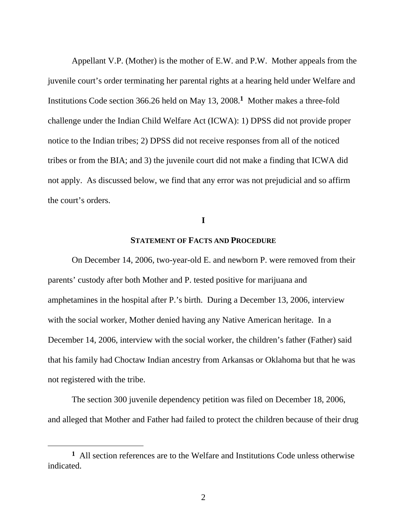Appellant V.P. (Mother) is the mother of E.W. and P.W. Mother appeals from the juvenile court's order terminating her parental rights at a hearing held under Welfare and Institutions Code section 366.26 held on May 13, 2008.**1** Mother makes a three-fold challenge under the Indian Child Welfare Act (ICWA): 1) DPSS did not provide proper notice to the Indian tribes; 2) DPSS did not receive responses from all of the noticed tribes or from the BIA; and 3) the juvenile court did not make a finding that ICWA did not apply. As discussed below, we find that any error was not prejudicial and so affirm the court's orders.

# **I**

# **STATEMENT OF FACTS AND PROCEDURE**

 On December 14, 2006, two-year-old E. and newborn P. were removed from their parents' custody after both Mother and P. tested positive for marijuana and amphetamines in the hospital after P.'s birth. During a December 13, 2006, interview with the social worker, Mother denied having any Native American heritage. In a December 14, 2006, interview with the social worker, the children's father (Father) said that his family had Choctaw Indian ancestry from Arkansas or Oklahoma but that he was not registered with the tribe.

 The section 300 juvenile dependency petition was filed on December 18, 2006, and alleged that Mother and Father had failed to protect the children because of their drug

**<sup>1</sup>** All section references are to the Welfare and Institutions Code unless otherwise indicated.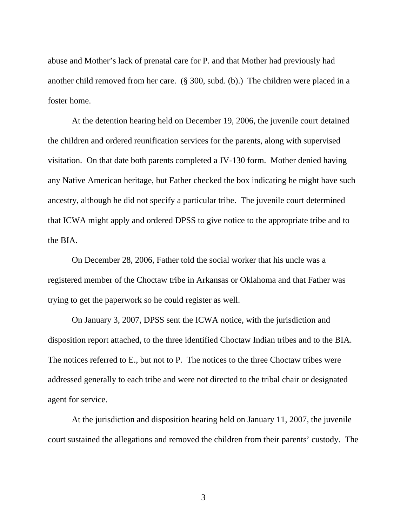abuse and Mother's lack of prenatal care for P. and that Mother had previously had another child removed from her care. (§ 300, subd. (b).) The children were placed in a foster home.

 At the detention hearing held on December 19, 2006, the juvenile court detained the children and ordered reunification services for the parents, along with supervised visitation. On that date both parents completed a JV-130 form. Mother denied having any Native American heritage, but Father checked the box indicating he might have such ancestry, although he did not specify a particular tribe. The juvenile court determined that ICWA might apply and ordered DPSS to give notice to the appropriate tribe and to the BIA.

 On December 28, 2006, Father told the social worker that his uncle was a registered member of the Choctaw tribe in Arkansas or Oklahoma and that Father was trying to get the paperwork so he could register as well.

 On January 3, 2007, DPSS sent the ICWA notice, with the jurisdiction and disposition report attached, to the three identified Choctaw Indian tribes and to the BIA. The notices referred to E., but not to P. The notices to the three Choctaw tribes were addressed generally to each tribe and were not directed to the tribal chair or designated agent for service.

 At the jurisdiction and disposition hearing held on January 11, 2007, the juvenile court sustained the allegations and removed the children from their parents' custody. The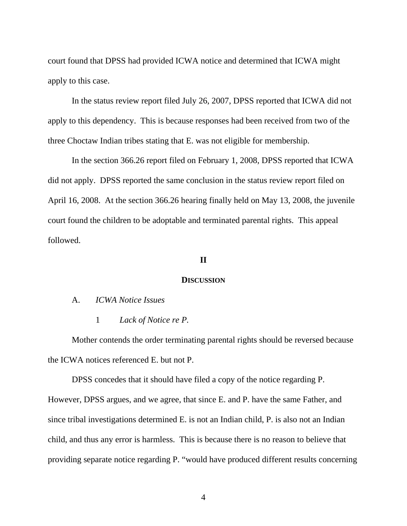court found that DPSS had provided ICWA notice and determined that ICWA might apply to this case.

 In the status review report filed July 26, 2007, DPSS reported that ICWA did not apply to this dependency. This is because responses had been received from two of the three Choctaw Indian tribes stating that E. was not eligible for membership.

 In the section 366.26 report filed on February 1, 2008, DPSS reported that ICWA did not apply. DPSS reported the same conclusion in the status review report filed on April 16, 2008. At the section 366.26 hearing finally held on May 13, 2008, the juvenile court found the children to be adoptable and terminated parental rights. This appeal followed.

### **II**

#### **DISCUSSION**

- A. *ICWA Notice Issues* 
	- 1 *Lack of Notice re P.*

 Mother contends the order terminating parental rights should be reversed because the ICWA notices referenced E. but not P.

 DPSS concedes that it should have filed a copy of the notice regarding P. However, DPSS argues, and we agree, that since E. and P. have the same Father, and since tribal investigations determined E. is not an Indian child, P. is also not an Indian child, and thus any error is harmless. This is because there is no reason to believe that providing separate notice regarding P. "would have produced different results concerning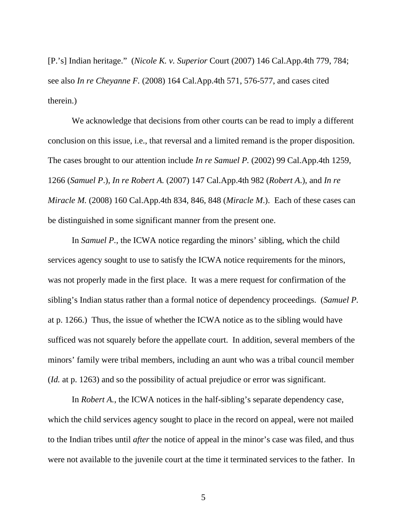[P.'s] Indian heritage." (*Nicole K. v. Superior* Court (2007) 146 Cal.App.4th 779, 784; see also *In re Cheyanne F.* (2008) 164 Cal.App.4th 571, 576-577, and cases cited therein.)

We acknowledge that decisions from other courts can be read to imply a different conclusion on this issue, i.e., that reversal and a limited remand is the proper disposition. The cases brought to our attention include *In re Samuel P.* (2002) 99 Cal.App.4th 1259, 1266 (*Samuel P*.), *In re Robert A.* (2007) 147 Cal.App.4th 982 (*Robert A*.), and *In re Miracle M.* (2008) 160 Cal.App.4th 834, 846, 848 (*Miracle M*.). Each of these cases can be distinguished in some significant manner from the present one.

In *Samuel P.*, the ICWA notice regarding the minors' sibling, which the child services agency sought to use to satisfy the ICWA notice requirements for the minors, was not properly made in the first place. It was a mere request for confirmation of the sibling's Indian status rather than a formal notice of dependency proceedings. (*Samuel P.* at p. 1266.) Thus, the issue of whether the ICWA notice as to the sibling would have sufficed was not squarely before the appellate court. In addition, several members of the minors' family were tribal members, including an aunt who was a tribal council member (*Id.* at p. 1263) and so the possibility of actual prejudice or error was significant.

In *Robert A.*, the ICWA notices in the half-sibling's separate dependency case, which the child services agency sought to place in the record on appeal, were not mailed to the Indian tribes until *after* the notice of appeal in the minor's case was filed, and thus were not available to the juvenile court at the time it terminated services to the father. In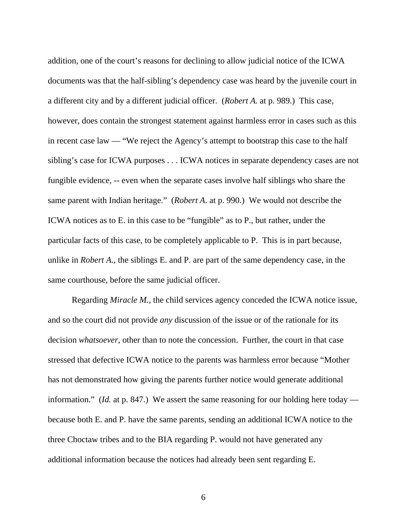addition, one of the court's reasons for declining to allow judicial notice of the ICWA documents was that the half-sibling's dependency case was heard by the juvenile court in a different city and by a different judicial officer. (*Robert A.* at p. 989.) This case, however, does contain the strongest statement against harmless error in cases such as this in recent case law — "We reject the Agency's attempt to bootstrap this case to the half sibling's case for ICWA purposes . . . ICWA notices in separate dependency cases are not fungible evidence, -- even when the separate cases involve half siblings who share the same parent with Indian heritage." (*Robert A*. at p. 990.) We would not describe the ICWA notices as to E. in this case to be "fungible" as to P., but rather, under the particular facts of this case, to be completely applicable to P. This is in part because, unlike in *Robert A.*, the siblings E. and P. are part of the same dependency case, in the same courthouse, before the same judicial officer.

Regarding *Miracle M.*, the child services agency conceded the ICWA notice issue, and so the court did not provide *any* discussion of the issue or of the rationale for its decision *whatsoever*, other than to note the concession. Further, the court in that case stressed that defective ICWA notice to the parents was harmless error because "Mother has not demonstrated how giving the parents further notice would generate additional information." (*Id.* at p. 847.) We assert the same reasoning for our holding here today because both E. and P. have the same parents, sending an additional ICWA notice to the three Choctaw tribes and to the BIA regarding P. would not have generated any additional information because the notices had already been sent regarding E.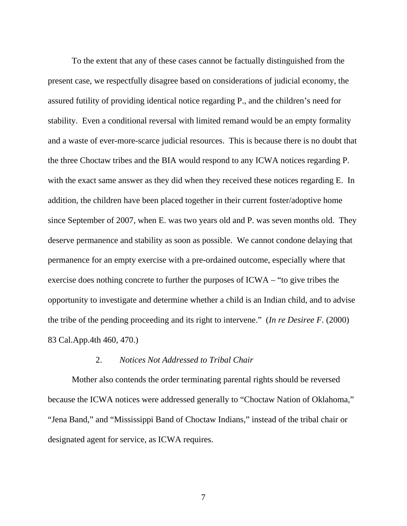To the extent that any of these cases cannot be factually distinguished from the present case, we respectfully disagree based on considerations of judicial economy, the assured futility of providing identical notice regarding P., and the children's need for stability. Even a conditional reversal with limited remand would be an empty formality and a waste of ever-more-scarce judicial resources. This is because there is no doubt that the three Choctaw tribes and the BIA would respond to any ICWA notices regarding P. with the exact same answer as they did when they received these notices regarding E. In addition, the children have been placed together in their current foster/adoptive home since September of 2007, when E. was two years old and P. was seven months old. They deserve permanence and stability as soon as possible. We cannot condone delaying that permanence for an empty exercise with a pre-ordained outcome, especially where that exercise does nothing concrete to further the purposes of ICWA – "to give tribes the opportunity to investigate and determine whether a child is an Indian child, and to advise the tribe of the pending proceeding and its right to intervene." (*In re Desiree F.* (2000) 83 Cal.App.4th 460, 470.)

### 2. *Notices Not Addressed to Tribal Chair*

 Mother also contends the order terminating parental rights should be reversed because the ICWA notices were addressed generally to "Choctaw Nation of Oklahoma," "Jena Band," and "Mississippi Band of Choctaw Indians," instead of the tribal chair or designated agent for service, as ICWA requires.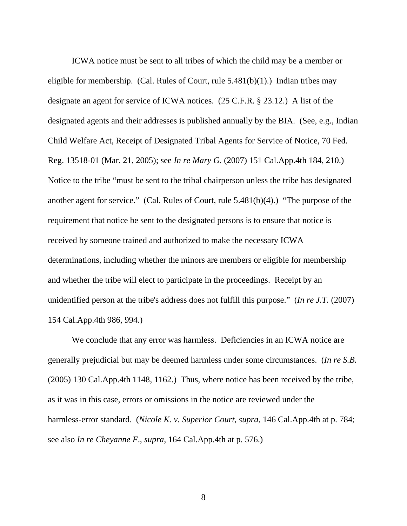ICWA notice must be sent to all tribes of which the child may be a member or eligible for membership. (Cal. Rules of Court, rule  $5.481(b)(1)$ .) Indian tribes may designate an agent for service of ICWA notices. (25 C.F.R. § 23.12.) A list of the designated agents and their addresses is published annually by the BIA. (See, e.g., Indian Child Welfare Act, Receipt of Designated Tribal Agents for Service of Notice, 70 Fed. Reg. 13518-01 (Mar. 21, 2005); see *In re Mary G.* (2007) 151 Cal.App.4th 184, 210.) Notice to the tribe "must be sent to the tribal chairperson unless the tribe has designated another agent for service." (Cal. Rules of Court, rule 5.481(b)(4).) "The purpose of the requirement that notice be sent to the designated persons is to ensure that notice is received by someone trained and authorized to make the necessary ICWA determinations, including whether the minors are members or eligible for membership and whether the tribe will elect to participate in the proceedings. Receipt by an unidentified person at the tribe's address does not fulfill this purpose." (*In re J.T.* (2007) 154 Cal.App.4th 986, 994.)

We conclude that any error was harmless. Deficiencies in an ICWA notice are generally prejudicial but may be deemed harmless under some circumstances. (*In re S.B.* (2005) 130 Cal.App.4th 1148, 1162.) Thus, where notice has been received by the tribe, as it was in this case, errors or omissions in the notice are reviewed under the harmless-error standard. (*Nicole K. v. Superior Court, supra*, 146 Cal.App.4th at p. 784; see also *In re Cheyanne F*., *supra*, 164 Cal.App.4th at p. 576.)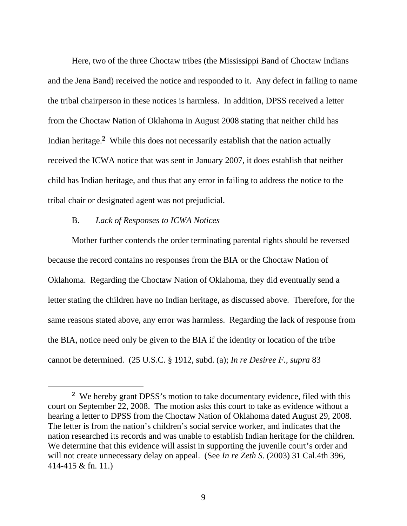Here, two of the three Choctaw tribes (the Mississippi Band of Choctaw Indians and the Jena Band) received the notice and responded to it. Any defect in failing to name the tribal chairperson in these notices is harmless. In addition, DPSS received a letter from the Choctaw Nation of Oklahoma in August 2008 stating that neither child has Indian heritage.**2** While this does not necessarily establish that the nation actually received the ICWA notice that was sent in January 2007, it does establish that neither child has Indian heritage, and thus that any error in failing to address the notice to the tribal chair or designated agent was not prejudicial.

# B. *Lack of Responses to ICWA Notices*

 Mother further contends the order terminating parental rights should be reversed because the record contains no responses from the BIA or the Choctaw Nation of Oklahoma. Regarding the Choctaw Nation of Oklahoma, they did eventually send a letter stating the children have no Indian heritage, as discussed above. Therefore, for the same reasons stated above, any error was harmless. Regarding the lack of response from the BIA, notice need only be given to the BIA if the identity or location of the tribe cannot be determined. (25 U.S.C. § 1912, subd. (a); *In re Desiree F., supra* 83

**<sup>2</sup>** We hereby grant DPSS's motion to take documentary evidence, filed with this court on September 22, 2008. The motion asks this court to take as evidence without a hearing a letter to DPSS from the Choctaw Nation of Oklahoma dated August 29, 2008. The letter is from the nation's children's social service worker, and indicates that the nation researched its records and was unable to establish Indian heritage for the children. We determine that this evidence will assist in supporting the juvenile court's order and will not create unnecessary delay on appeal. (See *In re Zeth S.* (2003) 31 Cal.4th 396, 414-415 & fn. 11.)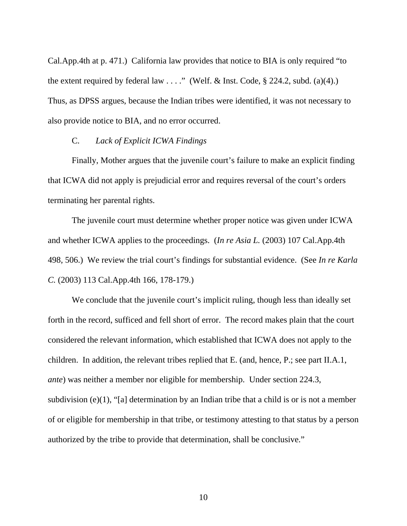Cal.App.4th at p. 471.) California law provides that notice to BIA is only required "to the extent required by federal law . . . ." (Welf. & Inst. Code,  $\S$  224.2, subd. (a)(4).) Thus, as DPSS argues, because the Indian tribes were identified, it was not necessary to also provide notice to BIA, and no error occurred.

### C. *Lack of Explicit ICWA Findings*

 Finally, Mother argues that the juvenile court's failure to make an explicit finding that ICWA did not apply is prejudicial error and requires reversal of the court's orders terminating her parental rights.

 The juvenile court must determine whether proper notice was given under ICWA and whether ICWA applies to the proceedings. (*In re Asia L.* (2003) 107 Cal.App.4th 498, 506.) We review the trial court's findings for substantial evidence. (See *In re Karla C.* (2003) 113 Cal.App.4th 166, 178-179.)

We conclude that the juvenile court's implicit ruling, though less than ideally set forth in the record, sufficed and fell short of error. The record makes plain that the court considered the relevant information, which established that ICWA does not apply to the children. In addition, the relevant tribes replied that E. (and, hence, P.; see part II.A.1, *ante*) was neither a member nor eligible for membership. Under section 224.3, subdivision  $(e)(1)$ , "[a] determination by an Indian tribe that a child is or is not a member of or eligible for membership in that tribe, or testimony attesting to that status by a person authorized by the tribe to provide that determination, shall be conclusive."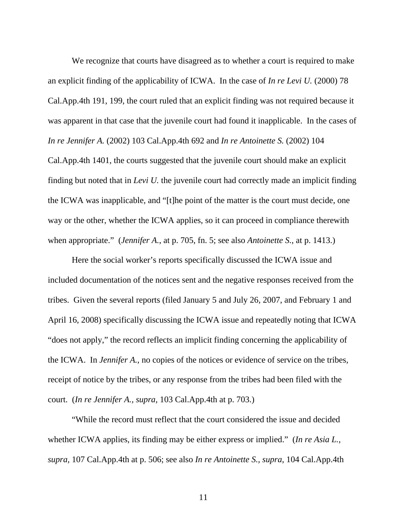We recognize that courts have disagreed as to whether a court is required to make an explicit finding of the applicability of ICWA. In the case of *In re Levi U.* (2000) 78 Cal.App.4th 191, 199, the court ruled that an explicit finding was not required because it was apparent in that case that the juvenile court had found it inapplicable. In the cases of *In re Jennifer A.* (2002) 103 Cal.App.4th 692 and *In re Antoinette S.* (2002) 104 Cal.App.4th 1401, the courts suggested that the juvenile court should make an explicit finding but noted that in *Levi U.* the juvenile court had correctly made an implicit finding the ICWA was inapplicable, and "[t]he point of the matter is the court must decide, one way or the other, whether the ICWA applies, so it can proceed in compliance therewith when appropriate." (*Jennifer A.*, at p. 705, fn. 5; see also *Antoinette S.*, at p. 1413.)

Here the social worker's reports specifically discussed the ICWA issue and included documentation of the notices sent and the negative responses received from the tribes. Given the several reports (filed January 5 and July 26, 2007, and February 1 and April 16, 2008) specifically discussing the ICWA issue and repeatedly noting that ICWA "does not apply," the record reflects an implicit finding concerning the applicability of the ICWA. In *Jennifer A.*, no copies of the notices or evidence of service on the tribes, receipt of notice by the tribes, or any response from the tribes had been filed with the court. (*In re Jennifer A., supra*, 103 Cal.App.4th at p. 703.)

 "While the record must reflect that the court considered the issue and decided whether ICWA applies, its finding may be either express or implied." (*In re Asia L., supra,* 107 Cal.App.4th at p. 506; see also *In re Antoinette S., supra*, 104 Cal.App.4th